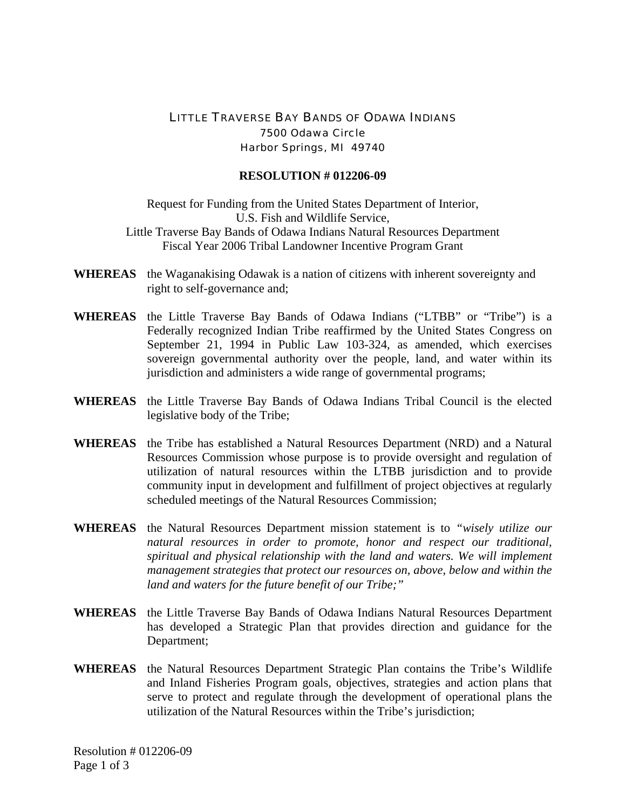## LITTLE TRAVERSE BAY BANDS OF ODAWA INDIANS 7500 Odawa Circle Harbor Springs, MI 49740

## **RESOLUTION # 012206-09**

Request for Funding from the United States Department of Interior, U.S. Fish and Wildlife Service, Little Traverse Bay Bands of Odawa Indians Natural Resources Department Fiscal Year 2006 Tribal Landowner Incentive Program Grant

- **WHEREAS** the Waganakising Odawak is a nation of citizens with inherent sovereignty and right to self-governance and;
- **WHEREAS** the Little Traverse Bay Bands of Odawa Indians ("LTBB" or "Tribe") is a Federally recognized Indian Tribe reaffirmed by the United States Congress on September 21, 1994 in Public Law 103-324, as amended, which exercises sovereign governmental authority over the people, land, and water within its jurisdiction and administers a wide range of governmental programs;
- **WHEREAS** the Little Traverse Bay Bands of Odawa Indians Tribal Council is the elected legislative body of the Tribe;
- **WHEREAS** the Tribe has established a Natural Resources Department (NRD) and a Natural Resources Commission whose purpose is to provide oversight and regulation of utilization of natural resources within the LTBB jurisdiction and to provide community input in development and fulfillment of project objectives at regularly scheduled meetings of the Natural Resources Commission;
- **WHEREAS** the Natural Resources Department mission statement is to *"wisely utilize our natural resources in order to promote, honor and respect our traditional, spiritual and physical relationship with the land and waters. We will implement management strategies that protect our resources on, above, below and within the land and waters for the future benefit of our Tribe;"*
- **WHEREAS** the Little Traverse Bay Bands of Odawa Indians Natural Resources Department has developed a Strategic Plan that provides direction and guidance for the Department;
- **WHEREAS** the Natural Resources Department Strategic Plan contains the Tribe's Wildlife and Inland Fisheries Program goals, objectives, strategies and action plans that serve to protect and regulate through the development of operational plans the utilization of the Natural Resources within the Tribe's jurisdiction;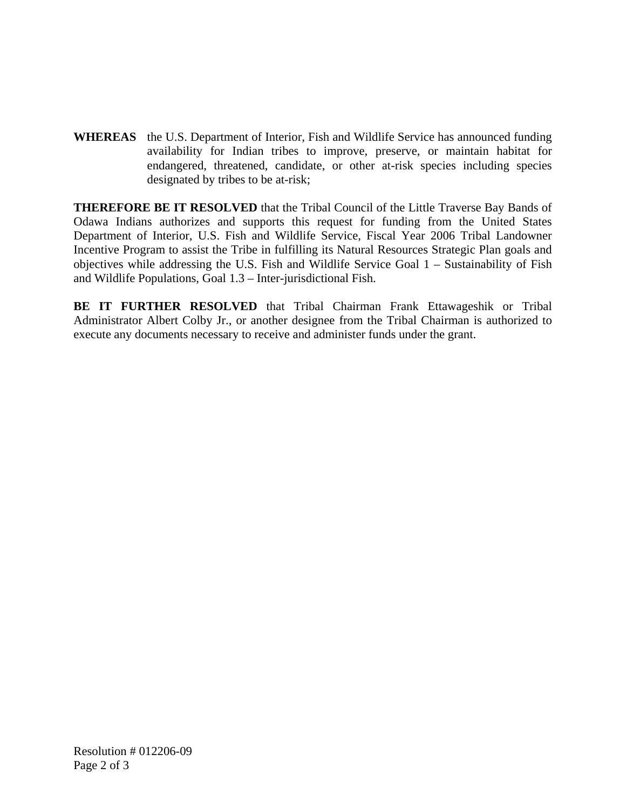**WHEREAS** the U.S. Department of Interior, Fish and Wildlife Service has announced funding availability for Indian tribes to improve, preserve, or maintain habitat for endangered, threatened, candidate, or other at-risk species including species designated by tribes to be at-risk;

**THEREFORE BE IT RESOLVED** that the Tribal Council of the Little Traverse Bay Bands of Odawa Indians authorizes and supports this request for funding from the United States Department of Interior, U.S. Fish and Wildlife Service, Fiscal Year 2006 Tribal Landowner Incentive Program to assist the Tribe in fulfilling its Natural Resources Strategic Plan goals and objectives while addressing the U.S. Fish and Wildlife Service Goal 1 – Sustainability of Fish and Wildlife Populations, Goal 1.3 – Inter-jurisdictional Fish.

**BE IT FURTHER RESOLVED** that Tribal Chairman Frank Ettawageshik or Tribal Administrator Albert Colby Jr., or another designee from the Tribal Chairman is authorized to execute any documents necessary to receive and administer funds under the grant.